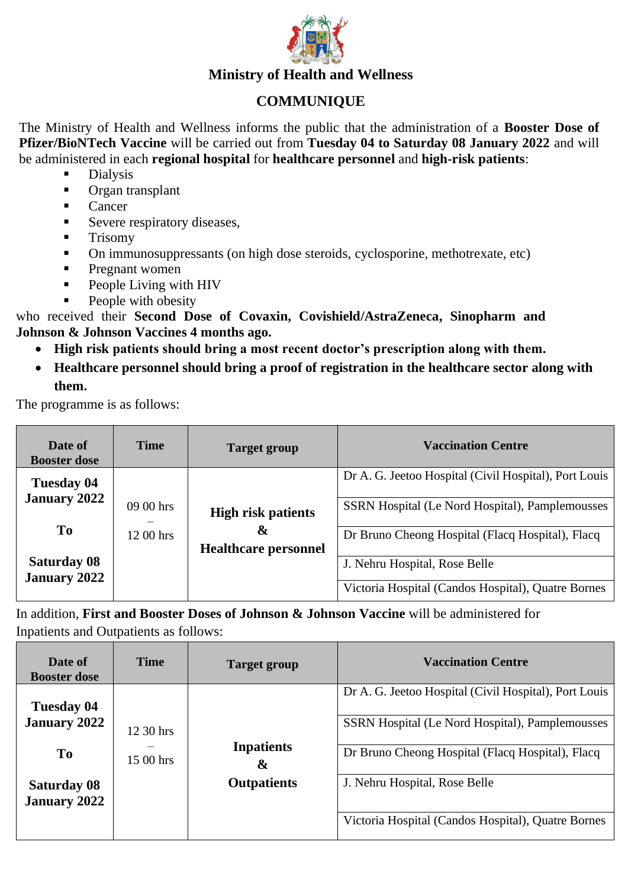

## **Ministry of Health and Wellness**

## **COMMUNIQUE**

The Ministry of Health and Wellness informs the public that the administration of a **Booster Dose of Pfizer/BioNTech Vaccine** will be carried out from **Tuesday 04 to Saturday 08 January 2022** and will be administered in each **regional hospital** for **healthcare personnel** and **high-risk patients**:

- **Dialysis**
- Organ transplant
- Cancer
- **EXECUTE:** Severe respiratory diseases,
- Trisomy
- On immunosuppressants (on high dose steroids, cyclosporine, methotrexate, etc)
- Pregnant women
- **•** People Living with HIV
- People with obesity

who received their **Second Dose of Covaxin, Covishield/AstraZeneca, Sinopharm and Johnson & Johnson Vaccines 4 months ago.** 

- **High risk patients should bring a most recent doctor's prescription along with them.**
- **Healthcare personnel should bring a proof of registration in the healthcare sector along with them.**

The programme is as follows:

| Date of<br><b>Booster dose</b>            | <b>Time</b> | <b>Target group</b>              | <b>Vaccination Centre</b>                             |
|-------------------------------------------|-------------|----------------------------------|-------------------------------------------------------|
| Tuesday 04                                |             |                                  | Dr A. G. Jeetoo Hospital (Civil Hospital), Port Louis |
| <b>January 2022</b>                       | 09 00 hrs   | <b>High risk patients</b>        | SSRN Hospital (Le Nord Hospital), Pamplemousses       |
| To                                        | 12 00 hrs   | &<br><b>Healthcare personnel</b> | Dr Bruno Cheong Hospital (Flacq Hospital), Flacq      |
| <b>Saturday 08</b><br><b>January 2022</b> |             |                                  | J. Nehru Hospital, Rose Belle                         |
|                                           |             |                                  | Victoria Hospital (Candos Hospital), Quatre Bornes    |

In addition, **First and Booster Doses of Johnson & Johnson Vaccine** will be administered for Inpatients and Outpatients as follows:

| Date of<br><b>Booster dose</b>            | <b>Time</b>            | Target group                               | <b>Vaccination Centre</b>                             |
|-------------------------------------------|------------------------|--------------------------------------------|-------------------------------------------------------|
| Tuesday 04                                | 12.30 hrs<br>15 00 hrs |                                            | Dr A. G. Jeetoo Hospital (Civil Hospital), Port Louis |
| <b>January 2022</b>                       |                        |                                            | SSRN Hospital (Le Nord Hospital), Pamplemousses       |
| <b>To</b>                                 |                        | <b>Inpatients</b><br>$\boldsymbol{\alpha}$ | Dr Bruno Cheong Hospital (Flacq Hospital), Flacq      |
| <b>Saturday 08</b><br><b>January 2022</b> |                        | <b>Outpatients</b>                         | J. Nehru Hospital, Rose Belle                         |
|                                           |                        |                                            | Victoria Hospital (Candos Hospital), Quatre Bornes    |